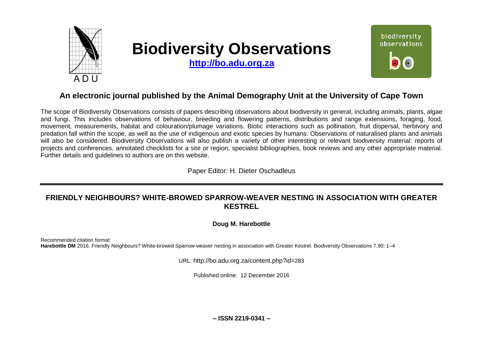

# **Biodiversity Observations**

**[http://bo.adu.org.za](http://bo.adu.org.za/)**



## **An electronic journal published by the Animal Demography Unit at the University of Cape Town**

The scope of Biodiversity Observations consists of papers describing observations about biodiversity in general, including animals, plants, algae and fungi. This includes observations of behaviour, breeding and flowering patterns, distributions and range extensions, foraging, food, movement, measurements, habitat and colouration/plumage variations. Biotic interactions such as pollination, fruit dispersal, herbivory and predation fall within the scope, as well as the use of indigenous and exotic species by humans. Observations of naturalised plants and animals will also be considered. Biodiversity Observations will also publish a variety of other interesting or relevant biodiversity material: reports of projects and conferences, annotated checklists for a site or region, specialist bibliographies, book reviews and any other appropriate material. Further details and guidelines to authors are on this website.

Paper Editor: H. Dieter Oschadleus

## **FRIENDLY NEIGHBOURS? WHITE-BROWED SPARROW-WEAVER NESTING IN ASSOCIATION WITH GREATER KESTREL**

**Doug M. Harebottle**

Recommended citation format: **Harebottle DM** 2016. Friendly Neighbours? White-browed Sparrow-weaver nesting in association with Greater Kestrel. Biodiversity Observations 7.90: 1–4

URL: http://bo.adu.org.za/content.php?id=283

Published online: 12 December 2016

**– ISSN 2219-0341 –**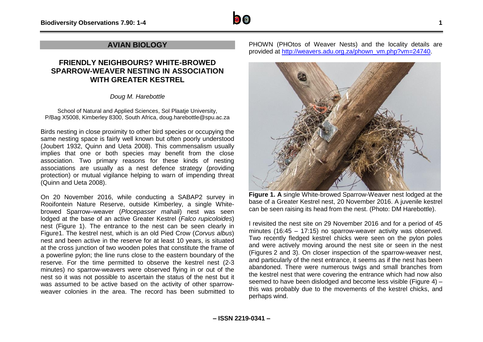

### **AVIAN BIOLOGY**

## **FRIENDLY NEIGHBOURS? WHITE-BROWED SPARROW-WEAVER NESTING IN ASSOCIATION WITH GREATER KESTREL**

*Doug M. Harebottle*

School of Natural and Applied Sciences, Sol Plaatje University, P/Bag X5008, Kimberley 8300, South Africa, doug.harebottle@spu.ac.za

Birds nesting in close proximity to other bird species or occupying the same nesting space is fairly well known but often poorly understood (Joubert 1932, Quinn and Ueta 2008). This commensalism usually implies that one or both species may benefit from the close association. Two primary reasons for these kinds of nesting associations are usually as a nest defence strategy (providing protection) or mutual vigilance helping to warn of impending threat (Quinn and Ueta 2008).

On 20 November 2016, while conducting a SABAP2 survey in Rooifontein Nature Reserve, outside Kimberley, a single Whitebrowed Sparrow–weaver (*Plocepasser mahali*) nest was seen lodged at the base of an active Greater Kestrel (*Falco rupicoloides*) nest (Figure 1). The entrance to the nest can be seen clearly in Figure1. The kestrel nest, which is an old Pied Crow (*Corvus albus*) nest and been active in the reserve for at least 10 years, is situated at the cross junction of two wooden poles that constitute the frame of a powerline pylon; the line runs close to the eastern boundary of the reserve. For the time permitted to observe the kestrel nest (2-3 minutes) no sparrow-weavers were observed flying in or out of the nest so it was not possible to ascertain the status of the nest but it was assumed to be active based on the activity of other sparrowweaver colonies in the area. The record has been submitted to

PHOWN (PHOtos of Weaver Nests) and the locality details are provided at [http://weavers.adu.org.za/phown\\_vm.php?vm=24740.](http://weavers.adu.org.za/phown_vm.php?vm=24740)



**Figure 1. A** single White-browed Sparrow-Weaver nest lodged at the base of a Greater Kestrel nest, 20 November 2016. A juvenile kestrel can be seen raising its head from the nest. (Photo: DM Harebottle).

I revisited the nest site on 29 November 2016 and for a period of 45 minutes (16:45 – 17:15) no sparrow-weaver activity was observed. Two recently fledged kestrel chicks were seen on the pylon poles and were actively moving around the nest site or seen in the nest (Figures 2 and 3). On closer inspection of the sparrow-weaver nest, and particularly of the nest entrance, it seems as if the nest has been abandoned. There were numerous twigs and small branches from the kestrel nest that were covering the entrance which had now also seemed to have been dislodged and become less visible (Figure 4) – this was probably due to the movements of the kestrel chicks, and perhaps wind.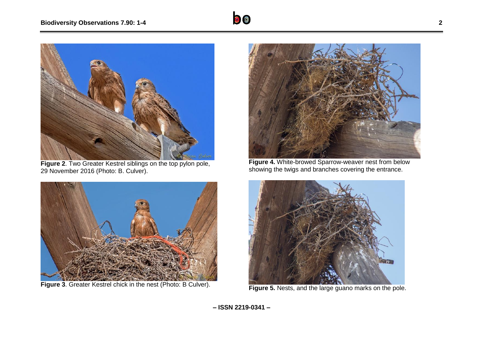

**Figure 2**. Two Greater Kestrel siblings on the top pylon pole, 29 November 2016 (Photo: B. Culver).



**Figure 3**. Greater Kestrel chick in the nest (Photo: B Culver).



**Figure 4.** White-browed Sparrow-weaver nest from below showing the twigs and branches covering the entrance.



**Figure 5.** Nests, and the large guano marks on the pole.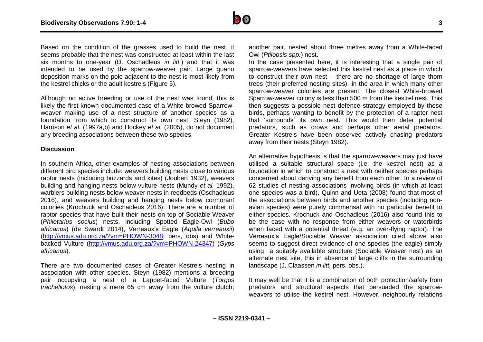

Based on the condition of the grasses used to build the nest, it seems probable that the nest was constructed at least within the last six months to one-year (D. Oschadleus *in litt.*) and that it was intended to be used by the sparrow-weaver pair. Large guano deposition marks on the pole adjacent to the nest is most likely from the kestrel chicks or the adult kestrels (Figure 5).

Although no active breeding or use of the nest was found, this is likely the first known documented case of a White-browed Sparrowweaver making use of a nest structure of another species as a foundation from which to construct its own nest. Steyn (1982), Harrison *et al.* (1997a,b) and Hockey *et al.* (2005), do not document any breeding associations between these two species.

#### **Discussion**

In southern Africa, other examples of nesting associations between different bird species include: weavers building nests close to various raptor nests (including buzzards and kites) (Joubert 1932), weavers building and hanging nests below vulture nests (Mundy *et al.* 1992), warblers building nests below weaver nests in reedbeds (Oschadleus 2016), and weavers building and hanging nests below cormorant colonies (Krochuck and Oschadleus 2016). There are a number of raptor species that have built their nests on top of Sociable Weaver (*Philetarius socius*) nests, including Spotted Eagle-Owl (*Bubo africanus*) (de Swardt 2014), Verreaux's Eagle (*Aquila verreauxii*) [\(http://vmus.adu.org.za/?vm=PHOWN-3048;](http://vmus.adu.org.za/?vm=PHOWN-3048) pers, obs) and Whitebacked Vulture [\(http://vmus.adu.org.za/?vm=PHOWN-24347\)](http://vmus.adu.org.za/?vm=PHOWN-24347) (*Gyps africanus*).

There are two documented cases of Greater Kestrels nesting in association with other species. Steyn (1982) mentions a breeding pair occupying a nest of a Lappet-faced Vulture (*Torgos tracheliotos*), nesting a mere 65 cm away from the vulture clutch; another pair, nested about three metres away from a White-faced Owl (*Ptilopsis spp.*) nest.

In the case presented here, it is interesting that a single pair of sparrow-weavers have selected this kestrel nest as a place in which to construct their own nest – there are no shortage of large thorn trees (their preferred nesting sites) in the area in which many other sparrow-weaver colonies are present. The closest White-browed Sparrow-weaver colony is less than 500 m from the kestrel nest. This then suggests a possible nest defence strategy employed by these birds, perhaps wanting to benefit by the protection of a raptor nest that 'surrounds' its own nest. This would then deter potential predators, such as crows and perhaps other aerial predators. Greater Kestrels have been observed actively chasing predators away from their nests (Steyn 1982).

An alternative hypothesis is that the sparrow-weavers may just have utilised a suitable structural space (i.e. the kestrel nest) as a foundation in which to construct a nest with neither species perhaps concerned about deriving any benefit from each other. In a review of 62 studies of nesting associations involving birds (in which at least one species was a bird), Quinn and Ueta (2008) found that most of the associations between birds and another species (including nonavian species) were purely commensal with no particular benefit to either species. Krochuck and Oschadleus (2016) also found this to be the case with no response from either weavers or waterbirds when faced with a potential threat (e.g. an over-flying raptor). The Verreaux's Eagle/Sociable Weaver association cited above also seems to suggest direct evidence of one species (the eagle) simply using a suitably available structure (Sociable Weaver nest) as an alternate nest site, this in absence of large cliffs in the surrounding landscape (J. Claassen *in litt,* pers. obs.).

It may well be that it is a combination of both protection/safety from predators and structural aspects that persuaded the sparrowweavers to utilise the kestrel nest. However, neighbourly relations